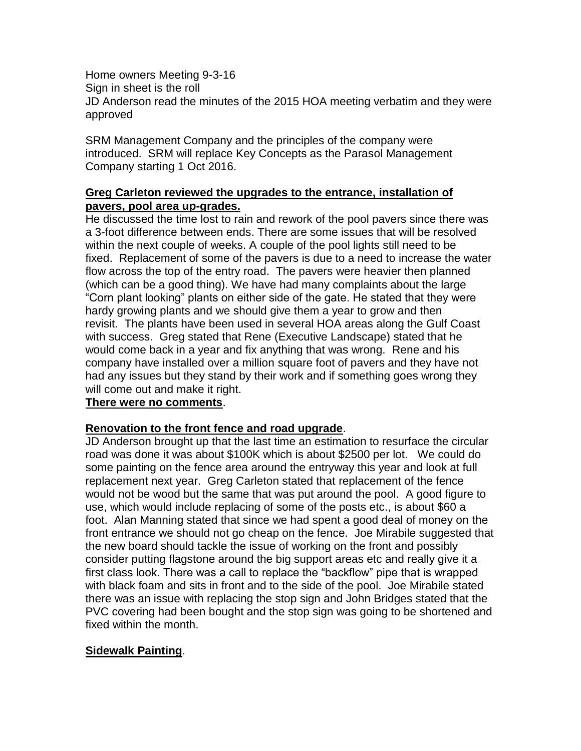Home owners Meeting 9-3-16 Sign in sheet is the roll JD Anderson read the minutes of the 2015 HOA meeting verbatim and they were approved

SRM Management Company and the principles of the company were introduced. SRM will replace Key Concepts as the Parasol Management Company starting 1 Oct 2016.

## **Greg Carleton reviewed the upgrades to the entrance, installation of pavers, pool area up-grades.**

He discussed the time lost to rain and rework of the pool pavers since there was a 3-foot difference between ends. There are some issues that will be resolved within the next couple of weeks. A couple of the pool lights still need to be fixed. Replacement of some of the pavers is due to a need to increase the water flow across the top of the entry road. The pavers were heavier then planned (which can be a good thing). We have had many complaints about the large "Corn plant looking" plants on either side of the gate. He stated that they were hardy growing plants and we should give them a year to grow and then revisit. The plants have been used in several HOA areas along the Gulf Coast with success. Greg stated that Rene (Executive Landscape) stated that he would come back in a year and fix anything that was wrong. Rene and his company have installed over a million square foot of pavers and they have not had any issues but they stand by their work and if something goes wrong they will come out and make it right.

## **There were no comments**.

## **Renovation to the front fence and road upgrade**.

JD Anderson brought up that the last time an estimation to resurface the circular road was done it was about \$100K which is about \$2500 per lot. We could do some painting on the fence area around the entryway this year and look at full replacement next year. Greg Carleton stated that replacement of the fence would not be wood but the same that was put around the pool. A good figure to use, which would include replacing of some of the posts etc., is about \$60 a foot. Alan Manning stated that since we had spent a good deal of money on the front entrance we should not go cheap on the fence. Joe Mirabile suggested that the new board should tackle the issue of working on the front and possibly consider putting flagstone around the big support areas etc and really give it a first class look. There was a call to replace the "backflow" pipe that is wrapped with black foam and sits in front and to the side of the pool. Joe Mirabile stated there was an issue with replacing the stop sign and John Bridges stated that the PVC covering had been bought and the stop sign was going to be shortened and fixed within the month.

## **Sidewalk Painting**.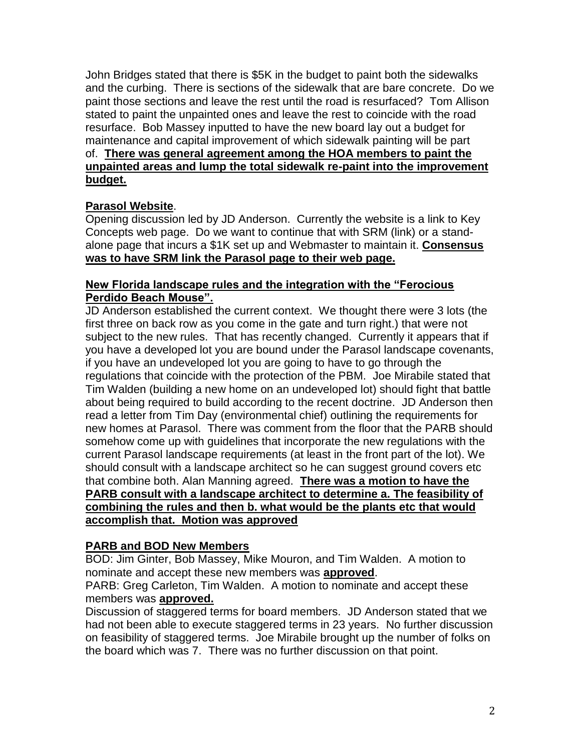John Bridges stated that there is \$5K in the budget to paint both the sidewalks and the curbing. There is sections of the sidewalk that are bare concrete. Do we paint those sections and leave the rest until the road is resurfaced? Tom Allison stated to paint the unpainted ones and leave the rest to coincide with the road resurface. Bob Massey inputted to have the new board lay out a budget for maintenance and capital improvement of which sidewalk painting will be part of. **There was general agreement among the HOA members to paint the unpainted areas and lump the total sidewalk re-paint into the improvement budget.**

# **Parasol Website**.

Opening discussion led by JD Anderson. Currently the website is a link to Key Concepts web page. Do we want to continue that with SRM (link) or a standalone page that incurs a \$1K set up and Webmaster to maintain it. **Consensus was to have SRM link the Parasol page to their web page.**

# **New Florida landscape rules and the integration with the "Ferocious Perdido Beach Mouse".**

JD Anderson established the current context. We thought there were 3 lots (the first three on back row as you come in the gate and turn right.) that were not subject to the new rules. That has recently changed. Currently it appears that if you have a developed lot you are bound under the Parasol landscape covenants, if you have an undeveloped lot you are going to have to go through the regulations that coincide with the protection of the PBM. Joe Mirabile stated that Tim Walden (building a new home on an undeveloped lot) should fight that battle about being required to build according to the recent doctrine. JD Anderson then read a letter from Tim Day (environmental chief) outlining the requirements for new homes at Parasol. There was comment from the floor that the PARB should somehow come up with guidelines that incorporate the new regulations with the current Parasol landscape requirements (at least in the front part of the lot). We should consult with a landscape architect so he can suggest ground covers etc that combine both. Alan Manning agreed. **There was a motion to have the PARB consult with a landscape architect to determine a. The feasibility of combining the rules and then b. what would be the plants etc that would accomplish that. Motion was approved**

# **PARB and BOD New Members**

BOD: Jim Ginter, Bob Massey, Mike Mouron, and Tim Walden. A motion to nominate and accept these new members was **approved**.

PARB: Greg Carleton, Tim Walden. A motion to nominate and accept these members was **approved.**

Discussion of staggered terms for board members. JD Anderson stated that we had not been able to execute staggered terms in 23 years. No further discussion on feasibility of staggered terms. Joe Mirabile brought up the number of folks on the board which was 7. There was no further discussion on that point.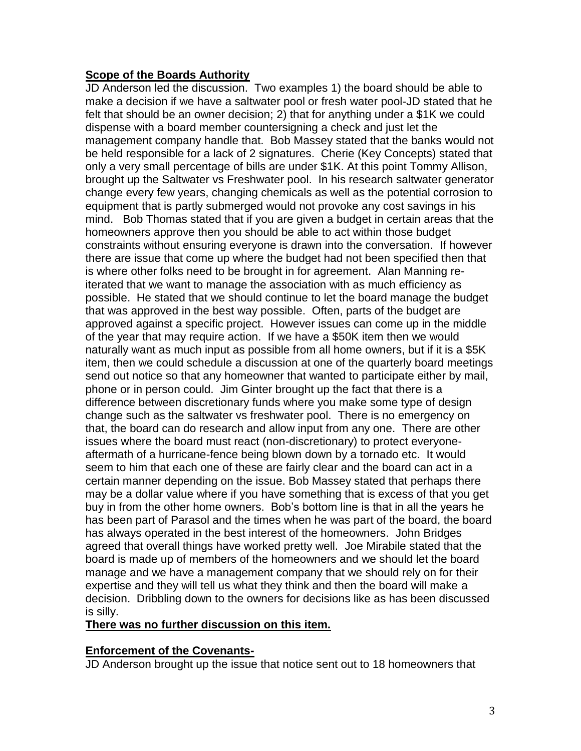# **Scope of the Boards Authority**

JD Anderson led the discussion. Two examples 1) the board should be able to make a decision if we have a saltwater pool or fresh water pool-JD stated that he felt that should be an owner decision; 2) that for anything under a \$1K we could dispense with a board member countersigning a check and just let the management company handle that. Bob Massey stated that the banks would not be held responsible for a lack of 2 signatures. Cherie (Key Concepts) stated that only a very small percentage of bills are under \$1K. At this point Tommy Allison, brought up the Saltwater vs Freshwater pool. In his research saltwater generator change every few years, changing chemicals as well as the potential corrosion to equipment that is partly submerged would not provoke any cost savings in his mind. Bob Thomas stated that if you are given a budget in certain areas that the homeowners approve then you should be able to act within those budget constraints without ensuring everyone is drawn into the conversation. If however there are issue that come up where the budget had not been specified then that is where other folks need to be brought in for agreement. Alan Manning reiterated that we want to manage the association with as much efficiency as possible. He stated that we should continue to let the board manage the budget that was approved in the best way possible. Often, parts of the budget are approved against a specific project. However issues can come up in the middle of the year that may require action. If we have a \$50K item then we would naturally want as much input as possible from all home owners, but if it is a \$5K item, then we could schedule a discussion at one of the quarterly board meetings send out notice so that any homeowner that wanted to participate either by mail, phone or in person could. Jim Ginter brought up the fact that there is a difference between discretionary funds where you make some type of design change such as the saltwater vs freshwater pool. There is no emergency on that, the board can do research and allow input from any one. There are other issues where the board must react (non-discretionary) to protect everyoneaftermath of a hurricane-fence being blown down by a tornado etc. It would seem to him that each one of these are fairly clear and the board can act in a certain manner depending on the issue. Bob Massey stated that perhaps there may be a dollar value where if you have something that is excess of that you get buy in from the other home owners. Bob's bottom line is that in all the years he has been part of Parasol and the times when he was part of the board, the board has always operated in the best interest of the homeowners. John Bridges agreed that overall things have worked pretty well. Joe Mirabile stated that the board is made up of members of the homeowners and we should let the board manage and we have a management company that we should rely on for their expertise and they will tell us what they think and then the board will make a decision. Dribbling down to the owners for decisions like as has been discussed is silly.

## **There was no further discussion on this item.**

## **Enforcement of the Covenants-**

JD Anderson brought up the issue that notice sent out to 18 homeowners that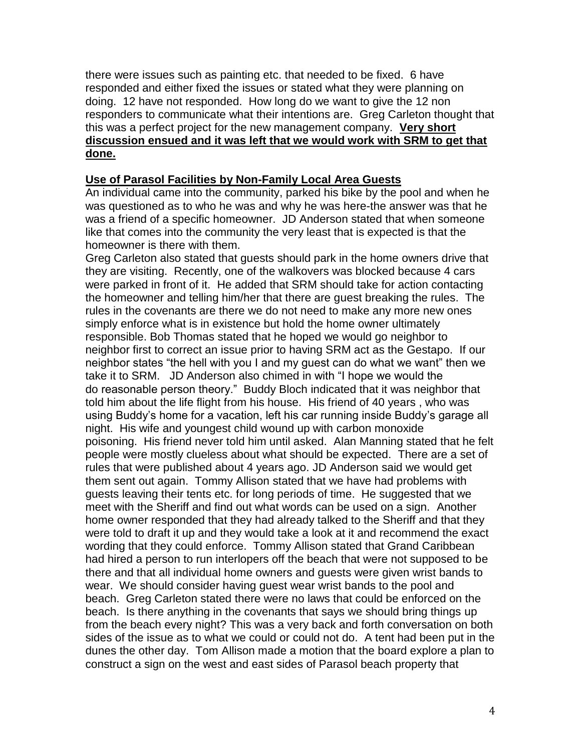there were issues such as painting etc. that needed to be fixed. 6 have responded and either fixed the issues or stated what they were planning on doing. 12 have not responded. How long do we want to give the 12 non responders to communicate what their intentions are. Greg Carleton thought that this was a perfect project for the new management company. **Very short discussion ensued and it was left that we would work with SRM to get that done.** 

# **Use of Parasol Facilities by Non-Family Local Area Guests**

An individual came into the community, parked his bike by the pool and when he was questioned as to who he was and why he was here-the answer was that he was a friend of a specific homeowner. JD Anderson stated that when someone like that comes into the community the very least that is expected is that the homeowner is there with them.

Greg Carleton also stated that guests should park in the home owners drive that they are visiting. Recently, one of the walkovers was blocked because 4 cars were parked in front of it. He added that SRM should take for action contacting the homeowner and telling him/her that there are guest breaking the rules. The rules in the covenants are there we do not need to make any more new ones simply enforce what is in existence but hold the home owner ultimately responsible. Bob Thomas stated that he hoped we would go neighbor to neighbor first to correct an issue prior to having SRM act as the Gestapo. If our neighbor states "the hell with you I and my guest can do what we want" then we take it to SRM. JD Anderson also chimed in with "I hope we would the do reasonable person theory." Buddy Bloch indicated that it was neighbor that told him about the life flight from his house. His friend of 40 years , who was using Buddy's home for a vacation, left his car running inside Buddy's garage all night. His wife and youngest child wound up with carbon monoxide poisoning. His friend never told him until asked. Alan Manning stated that he felt people were mostly clueless about what should be expected. There are a set of rules that were published about 4 years ago. JD Anderson said we would get them sent out again. Tommy Allison stated that we have had problems with guests leaving their tents etc. for long periods of time. He suggested that we meet with the Sheriff and find out what words can be used on a sign. Another home owner responded that they had already talked to the Sheriff and that they were told to draft it up and they would take a look at it and recommend the exact wording that they could enforce. Tommy Allison stated that Grand Caribbean had hired a person to run interlopers off the beach that were not supposed to be there and that all individual home owners and guests were given wrist bands to wear. We should consider having guest wear wrist bands to the pool and beach. Greg Carleton stated there were no laws that could be enforced on the beach. Is there anything in the covenants that says we should bring things up from the beach every night? This was a very back and forth conversation on both sides of the issue as to what we could or could not do. A tent had been put in the dunes the other day. Tom Allison made a motion that the board explore a plan to construct a sign on the west and east sides of Parasol beach property that